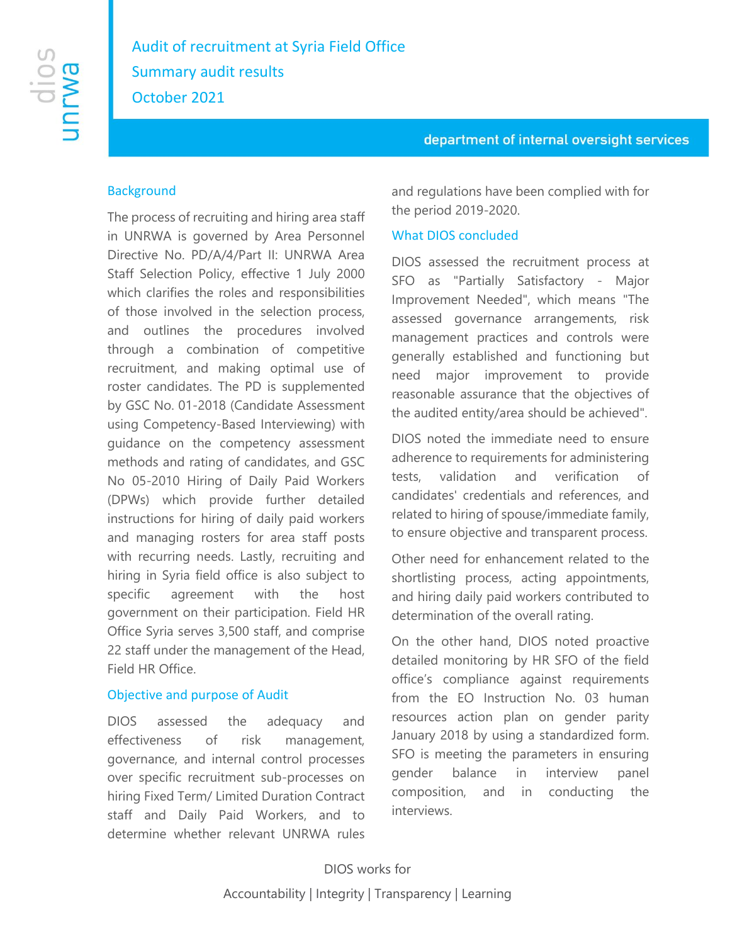# department of internal oversight services

## **Background**

The process of recruiting and hiring area staff in UNRWA is governed by Area Personnel Directive No. PD/A/4/Part II: UNRWA Area Staff Selection Policy, effective 1 July 2000 which clarifies the roles and responsibilities of those involved in the selection process, and outlines the procedures involved through a combination of competitive recruitment, and making optimal use of roster candidates. The PD is supplemented by GSC No. 01-2018 (Candidate Assessment using Competency-Based Interviewing) with guidance on the competency assessment methods and rating of candidates, and GSC No 05-2010 Hiring of Daily Paid Workers (DPWs) which provide further detailed instructions for hiring of daily paid workers and managing rosters for area staff posts with recurring needs. Lastly, recruiting and hiring in Syria field office is also subject to specific agreement with the host government on their participation. Field HR Office Syria serves 3,500 staff, and comprise 22 staff under the management of the Head, Field HR Office.

### Objective and purpose of Audit

DIOS assessed the adequacy and effectiveness of risk management, governance, and internal control processes over specific recruitment sub-processes on hiring Fixed Term/ Limited Duration Contract staff and Daily Paid Workers, and to determine whether relevant UNRWA rules

and regulations have been complied with for the period 2019-2020.

## What DIOS concluded

DIOS assessed the recruitment process at SFO as "Partially Satisfactory - Major Improvement Needed", which means "The assessed governance arrangements, risk management practices and controls were generally established and functioning but need major improvement to provide reasonable assurance that the objectives of the audited entity/area should be achieved".

DIOS noted the immediate need to ensure adherence to requirements for administering tests, validation and verification of candidates' credentials and references, and related to hiring of spouse/immediate family, to ensure objective and transparent process.

Other need for enhancement related to the shortlisting process, acting appointments, and hiring daily paid workers contributed to determination of the overall rating.

On the other hand, DIOS noted proactive detailed monitoring by HR SFO of the field office's compliance against requirements from the EO Instruction No. 03 human resources action plan on gender parity January 2018 by using a standardized form. SFO is meeting the parameters in ensuring gender balance in interview panel composition, and in conducting the interviews.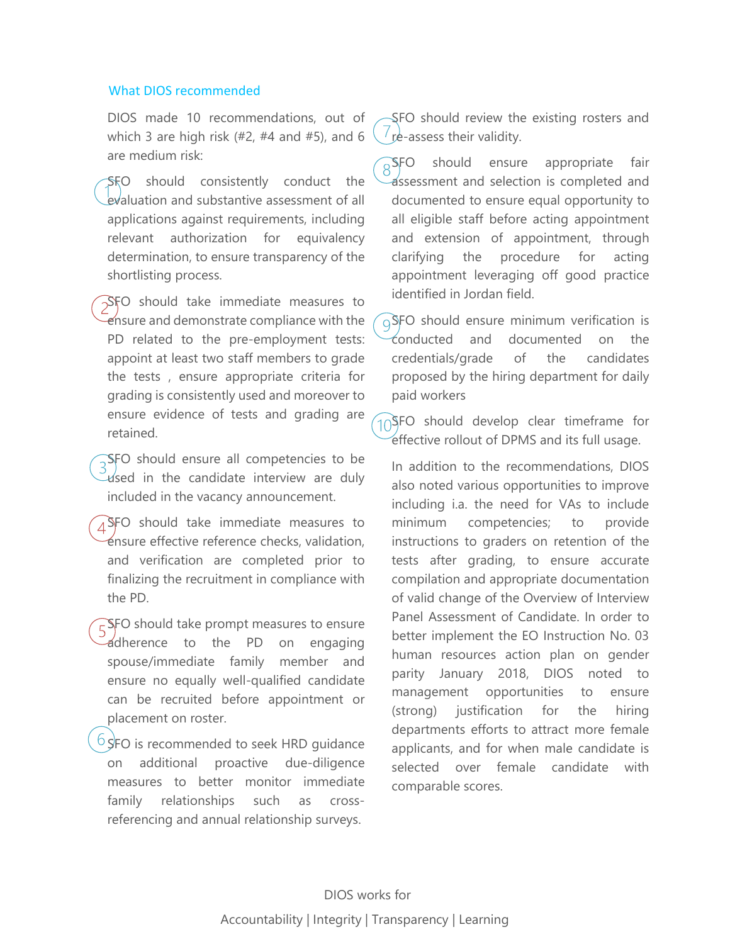#### What DIOS recommended

DIOS made 10 recommendations, out of which 3 are high risk  $(*2, #4$  and  $#5)$ , and 6 are medium risk:

SFO should consistently conduct the evaluation and substantive assessment of all applications against requirements, including relevant authorization for equivalency determination, to ensure transparency of the shortlisting process.

**SFO** should take immediate measures to ensure and demonstrate compliance with the PD related to the pre-employment tests: appoint at least two staff members to grade the tests , ensure appropriate criteria for grading is consistently used and moreover to ensure evidence of tests and grading are retained.

 $\sqrt{S}$ FO should ensure all competencies to be used in the candidate interview are duly included in the vacancy announcement.

 $A$ SFO should take immediate measures to ensure effective reference checks, validation, and verification are completed prior to finalizing the recruitment in compliance with the PD.

 $\sqrt{25}$ FO should take prompt measures to ensure adherence to the PD on engaging spouse/immediate family member and ensure no equally well-qualified candidate can be recruited before appointment or placement on roster.

 $6$  SFO is recommended to seek HRD guidance on additional proactive due-diligence measures to better monitor immediate family relationships such as crossreferencing and annual relationship surveys.

SFO should review the existing rosters and  $i$  re-assess their validity.

 $\widehat{\mathcal{S}}$ FO should ensure appropriate fair assessment and selection is completed and documented to ensure equal opportunity to all eligible staff before acting appointment and extension of appointment, through clarifying the procedure for acting appointment leveraging off good practice identified in Jordan field.

 $\alpha$ SFO should ensure minimum verification is conducted and documented on the credentials/grade of the candidates proposed by the hiring department for daily paid workers

 $10$ SFO should develop clear timeframe for effective rollout of DPMS and its full usage.

In addition to the recommendations, DIOS also noted various opportunities to improve including i.a. the need for VAs to include minimum competencies; to provide instructions to graders on retention of the tests after grading, to ensure accurate compilation and appropriate documentation of valid change of the Overview of Interview Panel Assessment of Candidate. In order to better implement the EO Instruction No. 03 human resources action plan on gender parity January 2018, DIOS noted to management opportunities to ensure (strong) justification for the hiring departments efforts to attract more female applicants, and for when male candidate is selected over female candidate with comparable scores.